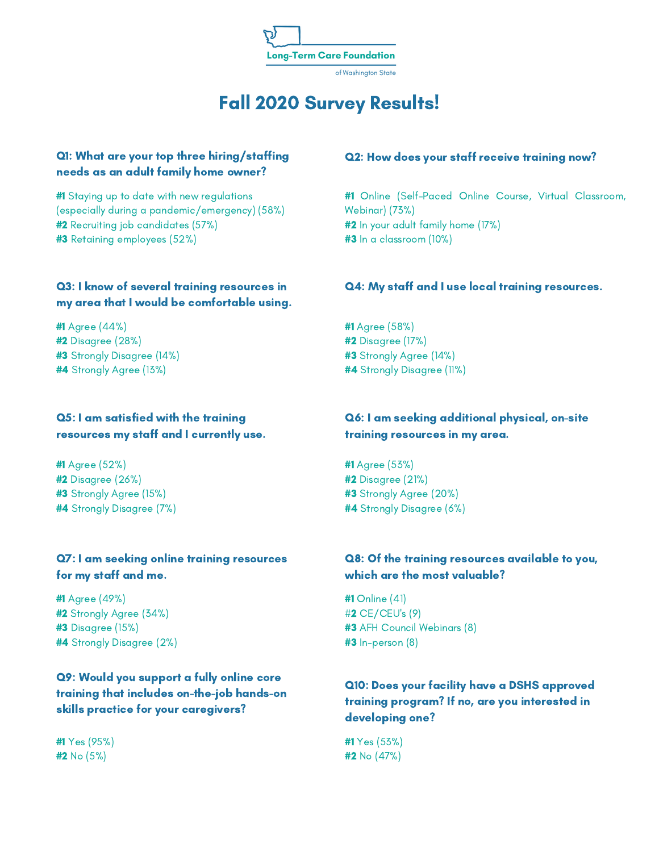

# Fall 2020 Survey Results!

#### Q1: What are your top three hiring/staffing needs as an adult family home owner?

#1 Staying up to date with new regulations (especially during a pandemic/emergency) (58%) #2 Recruiting job candidates (57%) #3 Retaining employees (52%)

#### Q3: I know of several training resources in my area that I would be comfortable using.

#1 Agree (44%) #2 Disagree (28%) #3 Strongly Disagree (14%) #4 Strongly Agree (13%)

#### Q5: I am satisfied with the training resources my staff and I currently use.

#1 Agree (52%) #2 Disagree (26%) #3 Strongly Agree (15%) #4 Strongly Disagree (7%)

#### Q7: I am seeking online training resources for my staff and me.

#1 Agree (49%) #2 Strongly Agree (34%) #3 Disagree (15%) #4 Strongly Disagree (2%)

Q9: Would you support a fully online core training that includes on-the-job hands-on skills practice for your caregivers?

#1 Yes (95%) #2 No (5%)

#### Q2: How does your staff receive training now?

#1 Online (Self-Paced Online Course, Virtual Classroom, Webinar) (73%) #2 In your adult family home (17%) #3 In a classroom (10%)

#### Q4: My staff and I use local training resources.

#1 Agree (58%) #2 Disagree (17%) #3 Strongly Agree (14%) #4 Strongly Disagree (11%)

#### Q6: I am seeking additional physical, on-site training resources in my area.

#1 Agree (53%) #2 Disagree (21%) #3 Strongly Agree (20%) #4 Strongly Disagree (6%)

#### Q8: Of the training resources available to you, which are the most valuable?

#1 Online (41) #2 CE/CEU's (9) #3 AFH Council Webinars (8) #3 In-person (8)

## Q10: Does your facility have a DSHS approved training program? If no, are you interested in developing one?

#1 Yes (53%) #2 No (47%)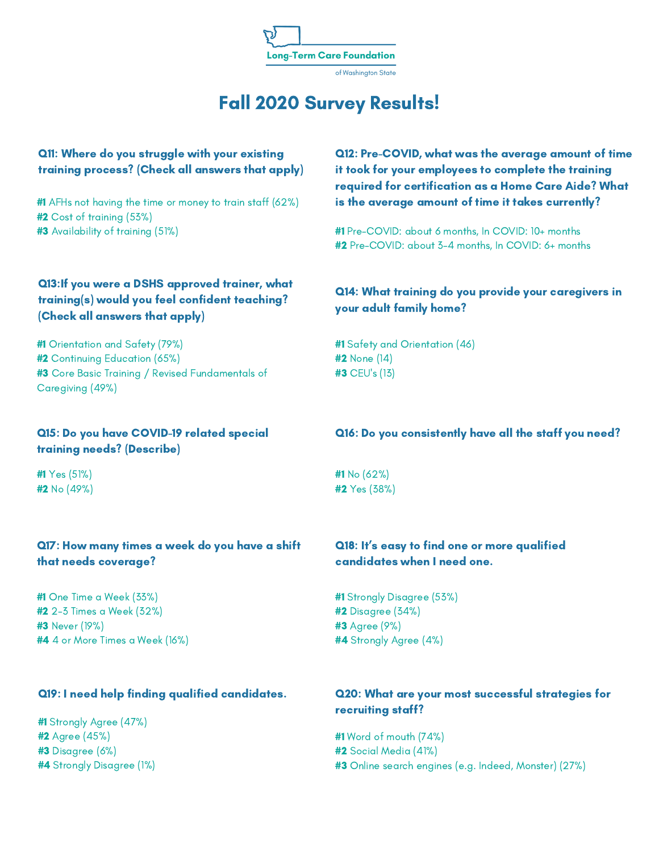

#### of Washington State

# Fall 2020 Survey Results!

#### Q11: Where do you struggle with your existing training process? (Check all answers that apply)

#1 AFHs not having the time or money to train staff (62%) #2 Cost of training (53%) #3 Availability of training (51%)

## Q13:If you were a DSHS approved trainer, what training(s) would you feel confident teaching? (Check all answers that apply)

#1 Orientation and Safety (79%) #2 Continuing Education (65%) #3 Core Basic Training / Revised Fundamentals of Caregiving (49%)

#### Q15: Do you have COVID-19 related special training needs? (Describe)

#1 Yes (51%) #2 No (49%)

#### Q17: How many times a week do you have a shift that needs coverage?

#1 One Time a Week (33%) #2 2-3 Times a Week (32%) #3 Never (19%) #4 4 or More Times a Week (16%)

#1 Strongly Agree (47%) #2 Agree (45%) #3 Disagree (6%) #4 Strongly Disagree (1%) Q12: Pre-COVID, what was the average amount of time it took for your employees to complete the training required for certification as a Home Care Aide? What is the average amount of time it takes currently?

#1 Pre-COVID: about 6 months, In COVID: 10+ months #2 Pre-COVID: about 3-4 months, In COVID: 6+ months

#### Q14: What training do you provide your caregivers in your adult family home?

#1 Safety and Orientation (46) #2 None (14) #3 CEU's (13)

#### Q16: Do you consistently have all the staff you need?

#1 No (62%) #2 Yes (38%)

## Q18: It's easy to find one or more qualified candidates when I need one.

#1 Strongly Disagree (53%) #2 Disagree (34%) #3 Agree (9%) #4 Strongly Agree (4%)

#### Q19: I need help finding qualified candidates. Q20: What are your most successful strategies for recruiting staff?

#1 Word of mouth (74%) #2 Social Media (41%) #3 Online search engines (e.g. Indeed, Monster) (27%)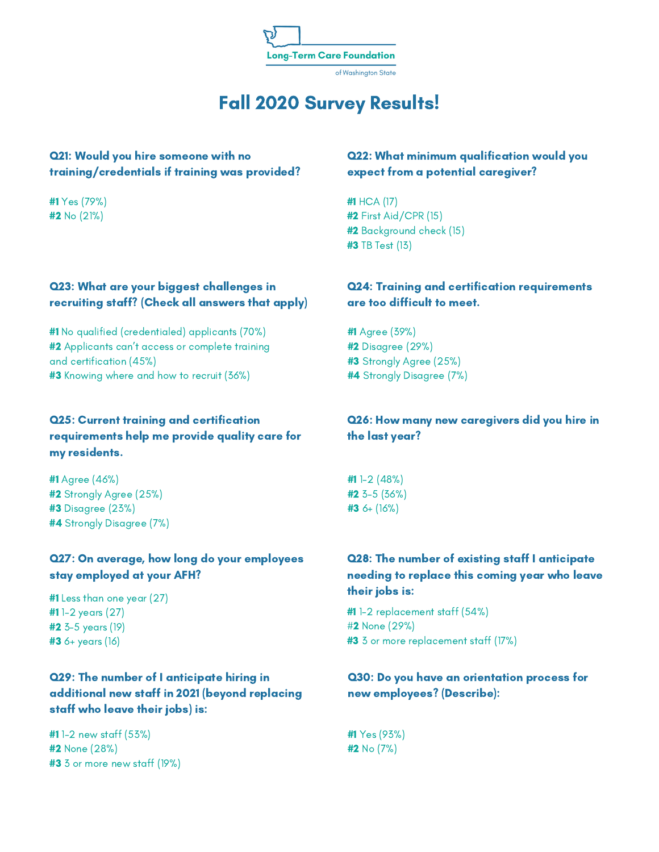

#### of Washington State

# Fall 2020 Survey Results!

#### Q21: Would you hire someone with no training/credentials if training was provided?

#1 Yes (79%) #2 No (21%)

## Q23: What are your biggest challenges in recruiting staff? (Check all answers that apply)

#1 No qualified (credentialed) applicants (70%) **#2** Applicants can't access or complete training and certification (45%) #3 Knowing where and how to recruit (36%)

## Q25: Current training and certification requirements help me provide quality care for my residents.

#1 Agree (46%) #2 Strongly Agree (25%) #3 Disagree (23%) #4 Strongly Disagree (7%)

## Q27: On average, how long do your employees stay employed at your AFH?

#1 Less than one year (27) #1 1-2 years (27) #2 3-5 years (19) #3 6+ years (16)

## Q29: The number of I anticipate hiring in additional new staff in 2021 (beyond replacing staff who leave their jobs) is:

#1 1-2 new staff (53%) #2 None (28%) #3 3 or more new staff (19%)

#### Q22: What minimum qualification would you expect from a potential caregiver?

#1 HCA (17) #2 First Aid/CPR (15) #2 Background check (15) #3 TB Test (13)

#### Q24: Training and certification requirements are too difficult to meet.

#1 Agree (39%) #2 Disagree (29%) #3 Strongly Agree (25%) #4 Strongly Disagree (7%)

#### Q26: How many new caregivers did you hire in the last year?

#1 1-2 (48%) #2 3-5 (36%) #3 6+ (16%)

## Q28: The number of existing staff I anticipate needing to replace this coming year who leave their jobs is:

#1 1-2 replacement staff (54%) #2 None (29%) #3 3 or more replacement staff (17%)

#### Q30: Do you have an orientation process for new employees? (Describe):

#1 Yes (93%) #2 No (7%)